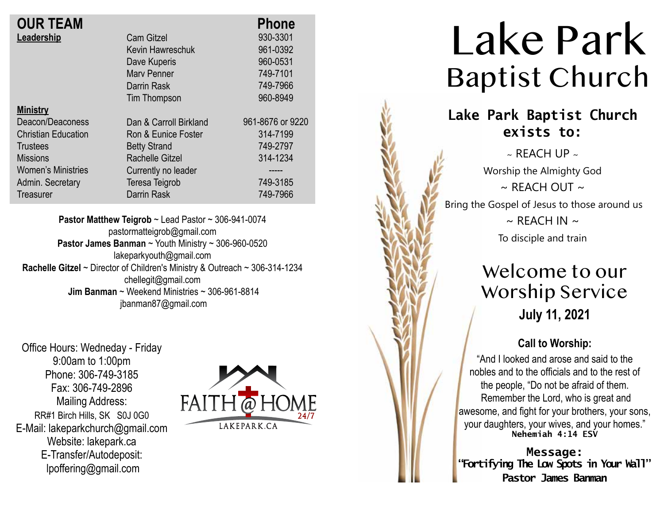| <b>OUR TEAM</b>            |                        | <b>Phone</b>     |
|----------------------------|------------------------|------------------|
| Leadership                 | <b>Cam Gitzel</b>      | 930-3301         |
|                            | Kevin Hawreschuk       | 961-0392         |
|                            | Dave Kuperis           | 960-0531         |
|                            | <b>Mary Penner</b>     | 749-7101         |
|                            | Darrin Rask            | 749-7966         |
|                            | Tim Thompson           | 960-8949         |
| <b>Ministry</b>            |                        |                  |
| Deacon/Deaconess           | Dan & Carroll Birkland | 961-8676 or 9220 |
| <b>Christian Education</b> | Ron & Eunice Foster    | 314-7199         |
| <b>Trustees</b>            | <b>Betty Strand</b>    | 749-2797         |
| <b>Missions</b>            | Rachelle Gitzel        | 314-1234         |
| <b>Women's Ministries</b>  | Currently no leader    |                  |
| Admin. Secretary           | Teresa Teigrob         | 749-3185         |
| Treasurer                  | Darrin Rask            | 749-7966         |

**Pastor Matthew Teigrob** ~ Lead Pastor ~ 306-941-0074 pastormatteigrob@gmail.com **Pastor James Banman** ~ Youth Ministry ~ 306-960-0520 lakeparkyouth@gmail.com **Rachelle Gitzel** ~ Director of Children's Ministry & Outreach ~ 306-314-1234 chellegit@gmail.com  **Jim Banman** ~ Weekend Ministries ~ 306-961-8814 jbanman87@gmail.com

Office Hours: Wedneday - Friday 9:00am to 1:00pm Phone: 306-749-3185 Fax: 306-749-2896 Mailing Address: RR#1 Birch Hills, SK S0J 0G0 E-Mail: lakeparkchurch@gmail.com Website: lakepark.ca E-Transfer/Autodeposit: lpoffering@gmail.com



# Lake Park Baptist Church

### **Lake Park Baptist Church exists to:**

 $\sim$  REACH UP  $\sim$ Worship the Almighty God  $\sim$  RFACH OUT  $\sim$ Bring the Gospel of Jesus to those around us  $\sim$  REACH IN  $\sim$ To disciple and train

### Welcome to our Worship Service **July 11, 2021**

#### **Call to Worship:**

"And I looked and arose and said to the nobles and to the officials and to the rest of the people, "Do not be afraid of them. Remember the Lord, who is great and awesome, and fight for your brothers, your sons, your daughters, your wives, and your homes." **Nehemiah 4:14 ESV**

**Message: "Fortifying The Low Spots in Your Wall" Pastor James Banman**